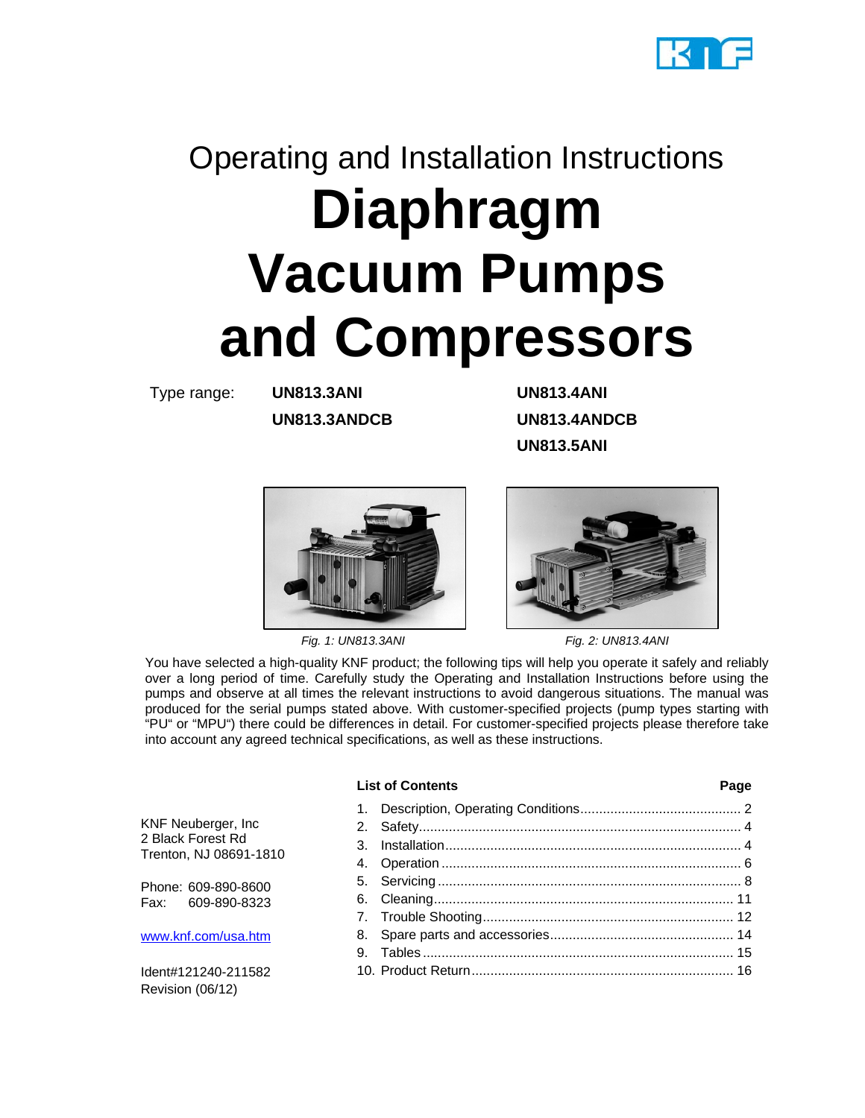

# Operating and Installation Instructions **Diaphragm Vacuum Pumps and Compressors**

Type range: **UN813.3ANI UN813.4ANI**

**UN813.3ANDCB UN813.4ANDCB UN813.5ANI** 



 *Fig. 1: UN813.3ANI Fig. 2: UN813.4ANI*



You have selected a high-quality KNF product; the following tips will help you operate it safely and reliably over a long period of time. Carefully study the Operating and Installation Instructions before using the pumps and observe at all times the relevant instructions to avoid dangerous situations. The manual was produced for the serial pumps stated above. With customer-specified projects (pump types starting with "PU" or "MPU") there could be differences in detail. For customer-specified projects please therefore take into account any agreed technical specifications, as well as these instructions.

#### List of Contents **Page**

KNF Neuberger, Inc 2 Black Forest Rd Trenton, NJ 08691-1810

Phone: 609-890-8600 Fax: 609-890-8323

www.knf.com/usa.htm

Ident#121240-211582 Revision (06/12)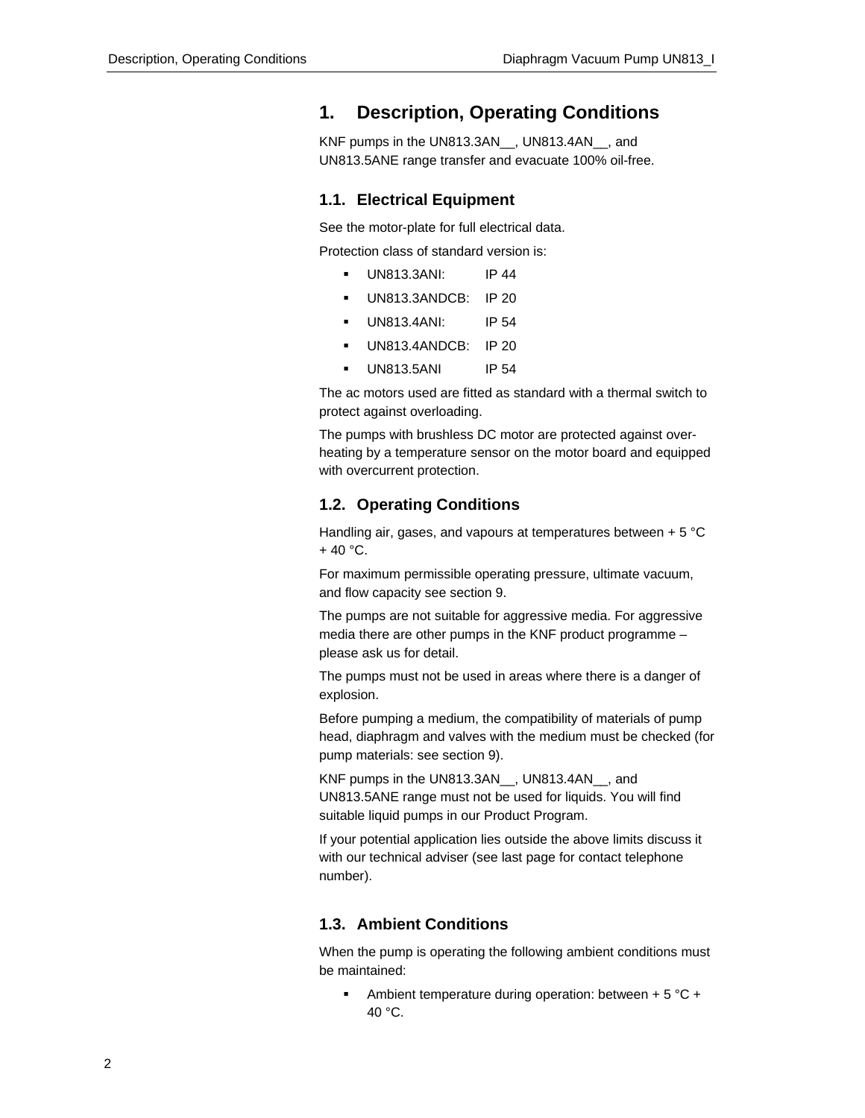## **1. Description, Operating Conditions**

KNF pumps in the UN813.3AN , UN813.4AN , and UN813.5ANE range transfer and evacuate 100% oil-free.

#### **1.1. Electrical Equipment**

See the motor-plate for full electrical data.

Protection class of standard version is:

- UN813.3ANI: IP 44
- UN813.3ANDCB: IP 20
- UN813.4ANI: IP 54
- UN813.4ANDCB: IP 20
- **UN813.5ANI** IP 54

The ac motors used are fitted as standard with a thermal switch to protect against overloading.

The pumps with brushless DC motor are protected against overheating by a temperature sensor on the motor board and equipped with overcurrent protection.

#### **1.2. Operating Conditions**

Handling air, gases, and vapours at temperatures between + 5 °C  $+ 40 °C$ .

For maximum permissible operating pressure, ultimate vacuum, and flow capacity see section 9.

The pumps are not suitable for aggressive media. For aggressive media there are other pumps in the KNF product programme – please ask us for detail.

The pumps must not be used in areas where there is a danger of explosion.

Before pumping a medium, the compatibility of materials of pump head, diaphragm and valves with the medium must be checked (for pump materials: see section 9).

KNF pumps in the UN813.3AN . UN813.4AN . and UN813.5ANE range must not be used for liquids. You will find suitable liquid pumps in our Product Program.

If your potential application lies outside the above limits discuss it with our technical adviser (see last page for contact telephone number).

#### **1.3. Ambient Conditions**

When the pump is operating the following ambient conditions must be maintained:

Ambient temperature during operation: between  $+5$  °C  $+$ 40 °C.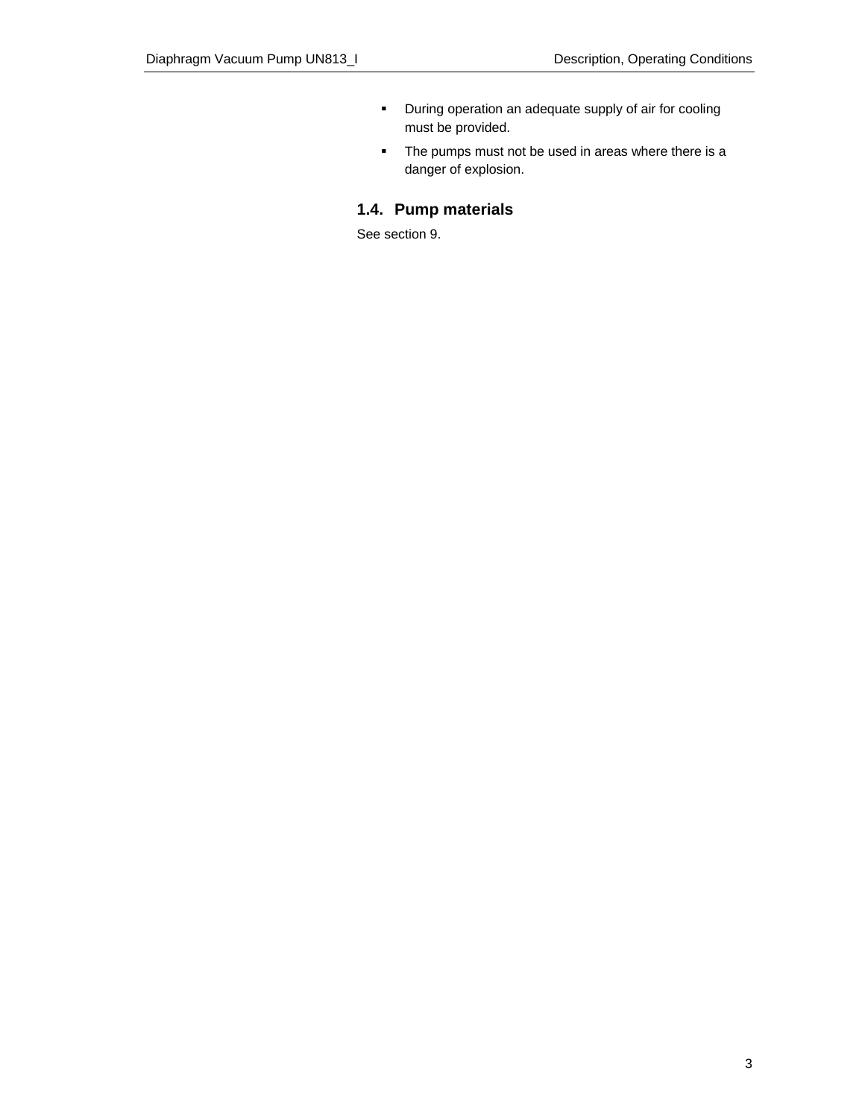- **•** During operation an adequate supply of air for cooling must be provided.
- The pumps must not be used in areas where there is a danger of explosion.

## **1.4. Pump materials**

See section 9.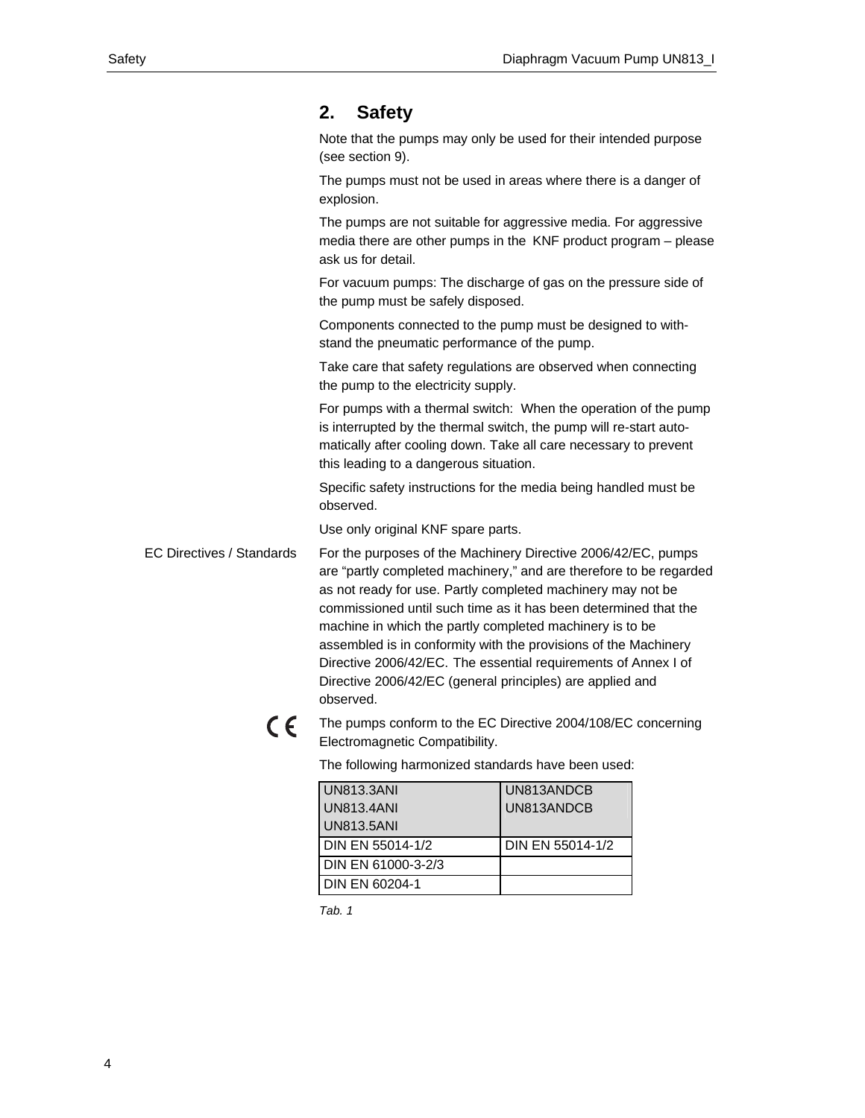## **2. Safety**

Note that the pumps may only be used for their intended purpose (see section 9).

The pumps must not be used in areas where there is a danger of explosion.

The pumps are not suitable for aggressive media. For aggressive media there are other pumps in the KNF product program – please ask us for detail.

For vacuum pumps: The discharge of gas on the pressure side of the pump must be safely disposed.

Components connected to the pump must be designed to withstand the pneumatic performance of the pump.

Take care that safety regulations are observed when connecting the pump to the electricity supply.

For pumps with a thermal switch: When the operation of the pump is interrupted by the thermal switch, the pump will re-start automatically after cooling down. Take all care necessary to prevent this leading to a dangerous situation.

Specific safety instructions for the media being handled must be observed.

Use only original KNF spare parts.

For the purposes of the Machinery Directive 2006/42/EC, pumps are "partly completed machinery," and are therefore to be regarded as not ready for use. Partly completed machinery may not be commissioned until such time as it has been determined that the machine in which the partly completed machinery is to be assembled is in conformity with the provisions of the Machinery Directive 2006/42/EC. The essential requirements of Annex I of Directive 2006/42/EC (general principles) are applied and observed. EC Directives / Standards

> $C \in$ The pumps conform to the EC Directive 2004/108/EC concerning Electromagnetic Compatibility.

> > The following harmonized standards have been used:

| <b>UN813.3ANI</b>       | UN813ANDCB       |
|-------------------------|------------------|
| <b>UN813.4ANI</b>       | UN813ANDCB       |
| <b>UN813.5ANI</b>       |                  |
|                         |                  |
| <b>DIN EN 55014-1/2</b> | DIN EN 55014-1/2 |
| DIN EN 61000-3-2/3      |                  |

*Tab. 1*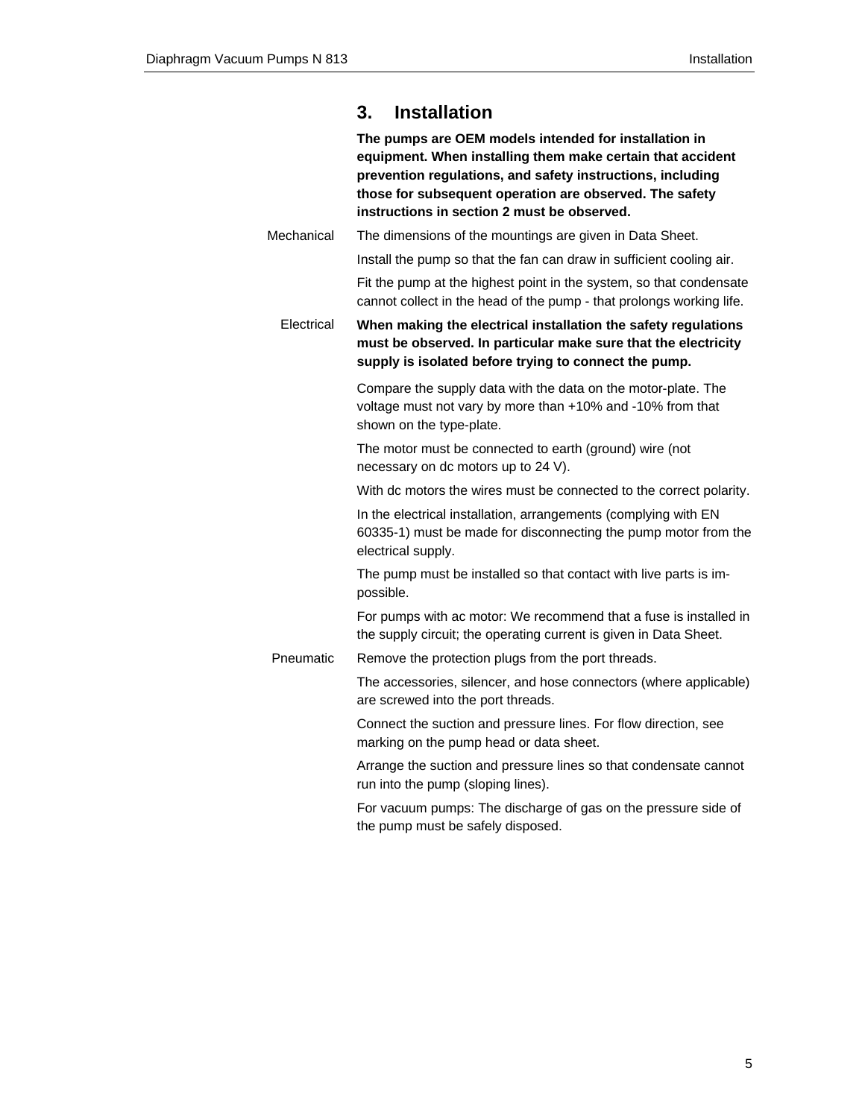## **3. Installation**

**The pumps are OEM models intended for installation in equipment. When installing them make certain that accident prevention regulations, and safety instructions, including those for subsequent operation are observed. The safety instructions in section 2 must be observed.**

The dimensions of the mountings are given in Data Sheet. **Mechanical** 

Install the pump so that the fan can draw in sufficient cooling air.

Fit the pump at the highest point in the system, so that condensate cannot collect in the head of the pump - that prolongs working life.

**When making the electrical installation the safety regulations must be observed. In particular make sure that the electricity supply is isolated before trying to connect the pump. Electrical** 

> Compare the supply data with the data on the motor-plate. The voltage must not vary by more than +10% and -10% from that shown on the type-plate.

The motor must be connected to earth (ground) wire (not necessary on dc motors up to 24 V).

With dc motors the wires must be connected to the correct polarity.

In the electrical installation, arrangements (complying with EN 60335-1) must be made for disconnecting the pump motor from the electrical supply.

The pump must be installed so that contact with live parts is impossible.

For pumps with ac motor: We recommend that a fuse is installed in the supply circuit; the operating current is given in Data Sheet.

Remove the protection plugs from the port threads. Pneumatic

> The accessories, silencer, and hose connectors (where applicable) are screwed into the port threads.

Connect the suction and pressure lines. For flow direction, see marking on the pump head or data sheet.

Arrange the suction and pressure lines so that condensate cannot run into the pump (sloping lines).

For vacuum pumps: The discharge of gas on the pressure side of the pump must be safely disposed.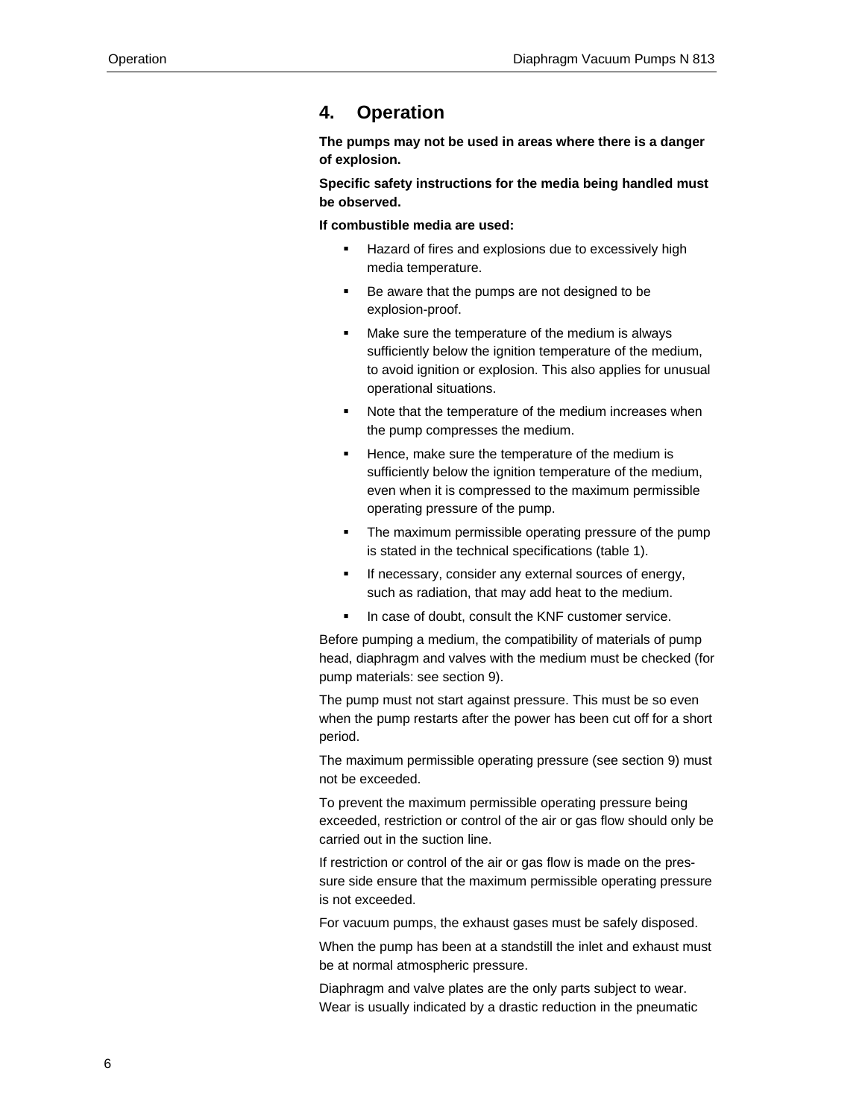## **4. Operation**

**The pumps may not be used in areas where there is a danger of explosion.** 

**Specific safety instructions for the media being handled must be observed.** 

**If combustible media are used:**

- Hazard of fires and explosions due to excessively high media temperature.
- Be aware that the pumps are not designed to be explosion-proof.
- Make sure the temperature of the medium is always sufficiently below the ignition temperature of the medium, to avoid ignition or explosion. This also applies for unusual operational situations.
- Note that the temperature of the medium increases when the pump compresses the medium.
- Hence, make sure the temperature of the medium is sufficiently below the ignition temperature of the medium, even when it is compressed to the maximum permissible operating pressure of the pump.
- The maximum permissible operating pressure of the pump is stated in the technical specifications (table 1).
- If necessary, consider any external sources of energy, such as radiation, that may add heat to the medium.
- In case of doubt, consult the KNF customer service.

Before pumping a medium, the compatibility of materials of pump head, diaphragm and valves with the medium must be checked (for pump materials: see section 9).

The pump must not start against pressure. This must be so even when the pump restarts after the power has been cut off for a short period.

The maximum permissible operating pressure (see section 9) must not be exceeded.

To prevent the maximum permissible operating pressure being exceeded, restriction or control of the air or gas flow should only be carried out in the suction line.

If restriction or control of the air or gas flow is made on the pressure side ensure that the maximum permissible operating pressure is not exceeded.

For vacuum pumps, the exhaust gases must be safely disposed.

When the pump has been at a standstill the inlet and exhaust must be at normal atmospheric pressure.

Diaphragm and valve plates are the only parts subject to wear. Wear is usually indicated by a drastic reduction in the pneumatic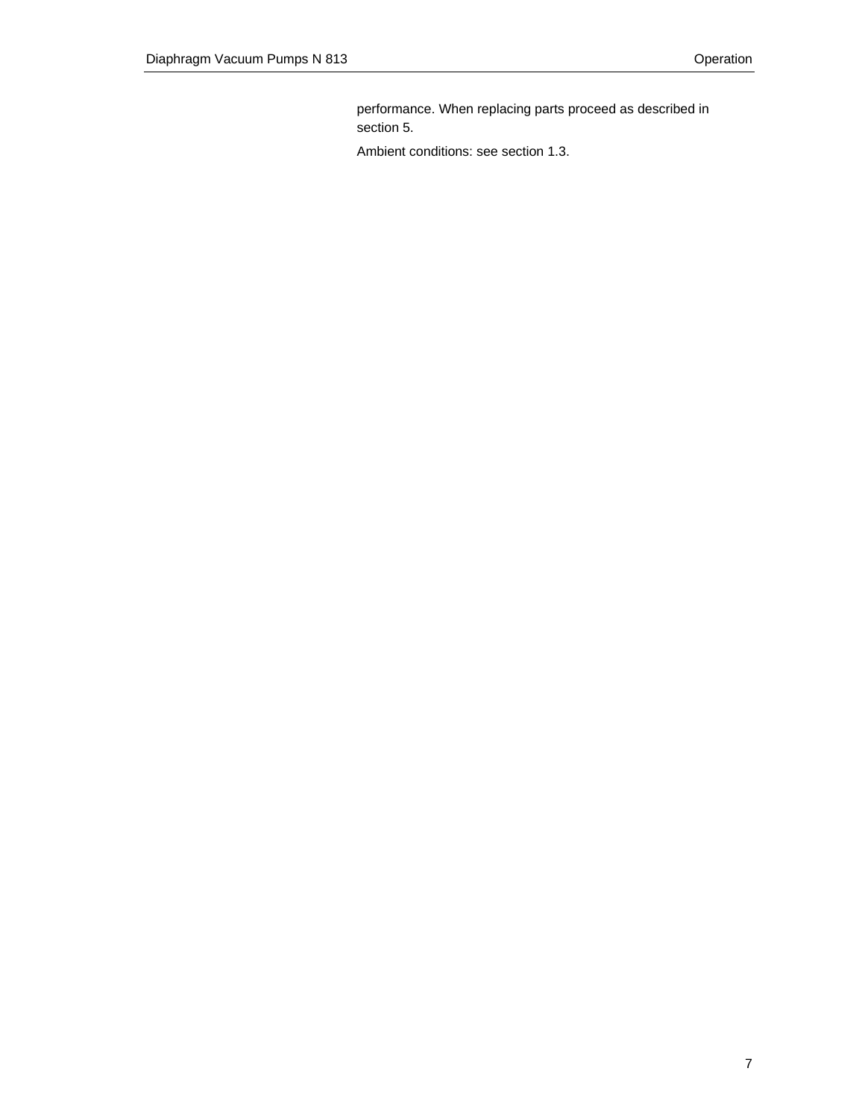performance. When replacing parts proceed as described in section 5.

Ambient conditions: see section 1.3.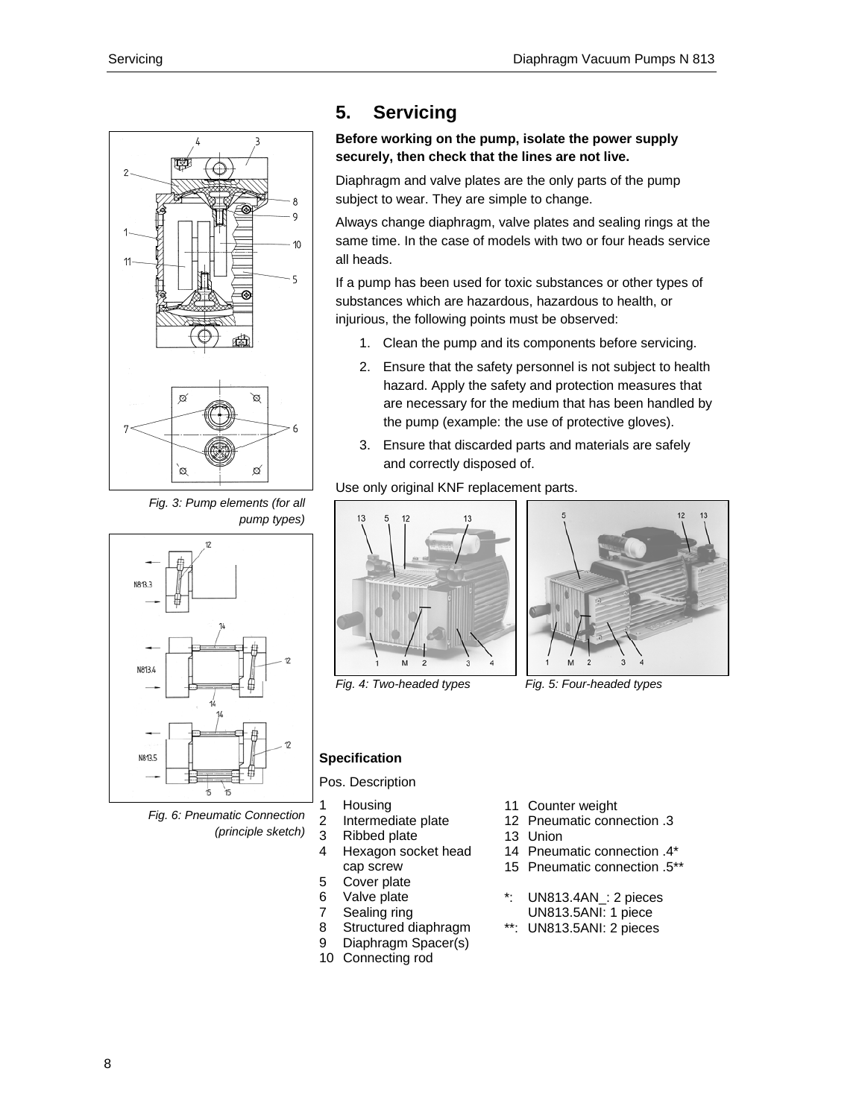

*Fig. 3: Pump elements (for all pump types)* 



*Fig. 6: Pneumatic Connection (principle sketch)* 

## **5. Servicing**

### **Before working on the pump, isolate the power supply securely, then check that the lines are not live.**

Diaphragm and valve plates are the only parts of the pump subject to wear. They are simple to change.

Always change diaphragm, valve plates and sealing rings at the same time. In the case of models with two or four heads service all heads.

If a pump has been used for toxic substances or other types of substances which are hazardous, hazardous to health, or injurious, the following points must be observed:

- 1. Clean the pump and its components before servicing.
- 2. Ensure that the safety personnel is not subject to health hazard. Apply the safety and protection measures that are necessary for the medium that has been handled by the pump (example: the use of protective gloves).
- 3. Ensure that discarded parts and materials are safely and correctly disposed of.

Use only original KNF replacement parts.



*Fig. 4: Two-headed types Fig. 5: Four-headed types* 



#### **Specification**

Pos. Description

- 1 Housing
- 2 Intermediate plate
- 3 Ribbed plate
- 4 Hexagon socket head cap screw
- 5 Cover plate
- 6 Valve plate
- 7 Sealing ring
- 8 Structured diaphragm
- 9 Diaphragm Spacer(s)
- 10 Connecting rod
- 11 Counter weight
- 12 Pneumatic connection .3
- 13 Union
- 14 Pneumatic connection .4\*
- 15 Pneumatic connection .5\*\*
- UN813.4AN : 2 pieces UN813.5ANI: 1 piece
- \*\*: UN813.5ANI: 2 pieces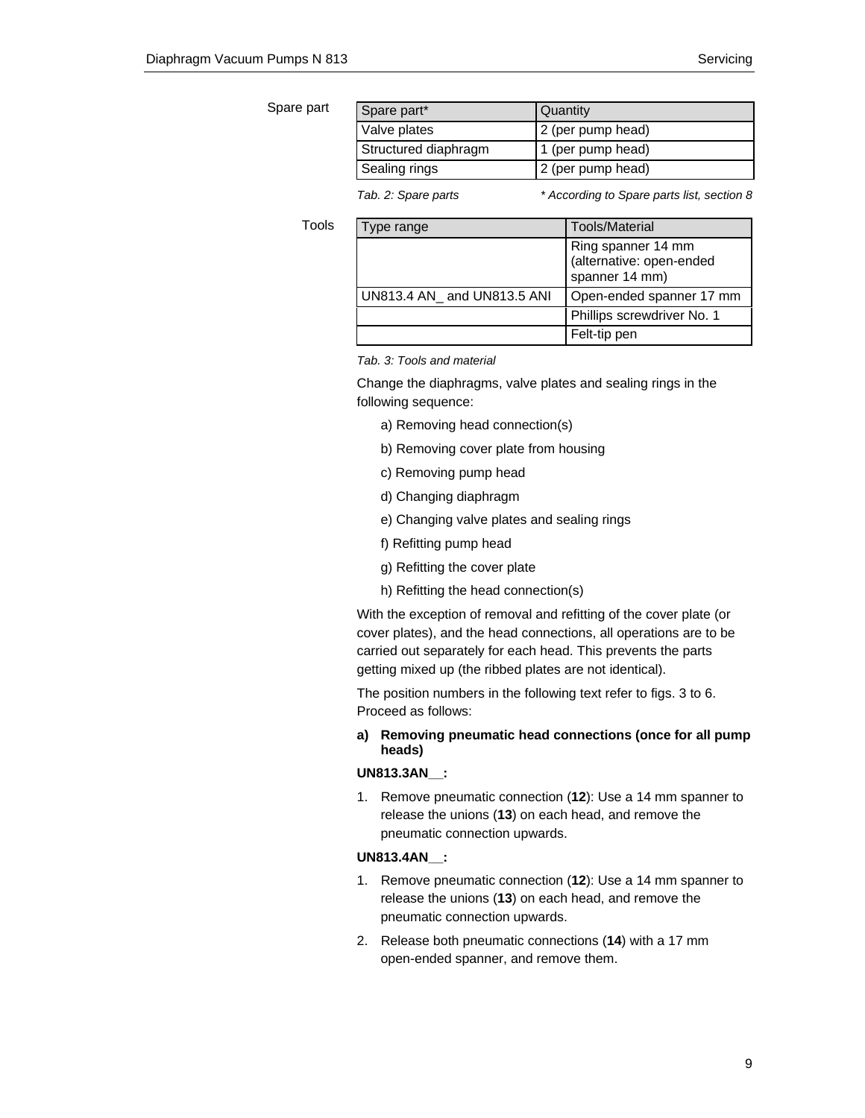Tools

| Spare part | Spare part*          | Quantity          |
|------------|----------------------|-------------------|
|            | Valve plates         | 2 (per pump head) |
|            | Structured diaphragm | 1 (per pump head) |
|            | Sealing rings        | 2 (per pump head) |
|            |                      |                   |

*Tab. 2: Spare parts \* According to Spare parts list, section 8* 

| Type range                 | Tools/Material                                                   |
|----------------------------|------------------------------------------------------------------|
|                            | Ring spanner 14 mm<br>(alternative: open-ended<br>spanner 14 mm) |
| UN813.4 AN and UN813.5 ANI | Open-ended spanner 17 mm                                         |
|                            | Phillips screwdriver No. 1                                       |
|                            | Felt-tip pen                                                     |

*Tab. 3: Tools and material* 

Change the diaphragms, valve plates and sealing rings in the following sequence:

- a) Removing head connection(s)
- b) Removing cover plate from housing
- c) Removing pump head
- d) Changing diaphragm
- e) Changing valve plates and sealing rings
- f) Refitting pump head
- g) Refitting the cover plate
- h) Refitting the head connection(s)

With the exception of removal and refitting of the cover plate (or cover plates), and the head connections, all operations are to be carried out separately for each head. This prevents the parts getting mixed up (the ribbed plates are not identical).

The position numbers in the following text refer to figs. 3 to 6. Proceed as follows:

**a) Removing pneumatic head connections (once for all pump heads)** 

#### **UN813.3AN\_\_:**

1. Remove pneumatic connection (**12**): Use a 14 mm spanner to release the unions (**13**) on each head, and remove the pneumatic connection upwards.

#### **UN813.4AN\_\_:**

- 1. Remove pneumatic connection (**12**): Use a 14 mm spanner to release the unions (**13**) on each head, and remove the pneumatic connection upwards.
- 2. Release both pneumatic connections (**14**) with a 17 mm open-ended spanner, and remove them.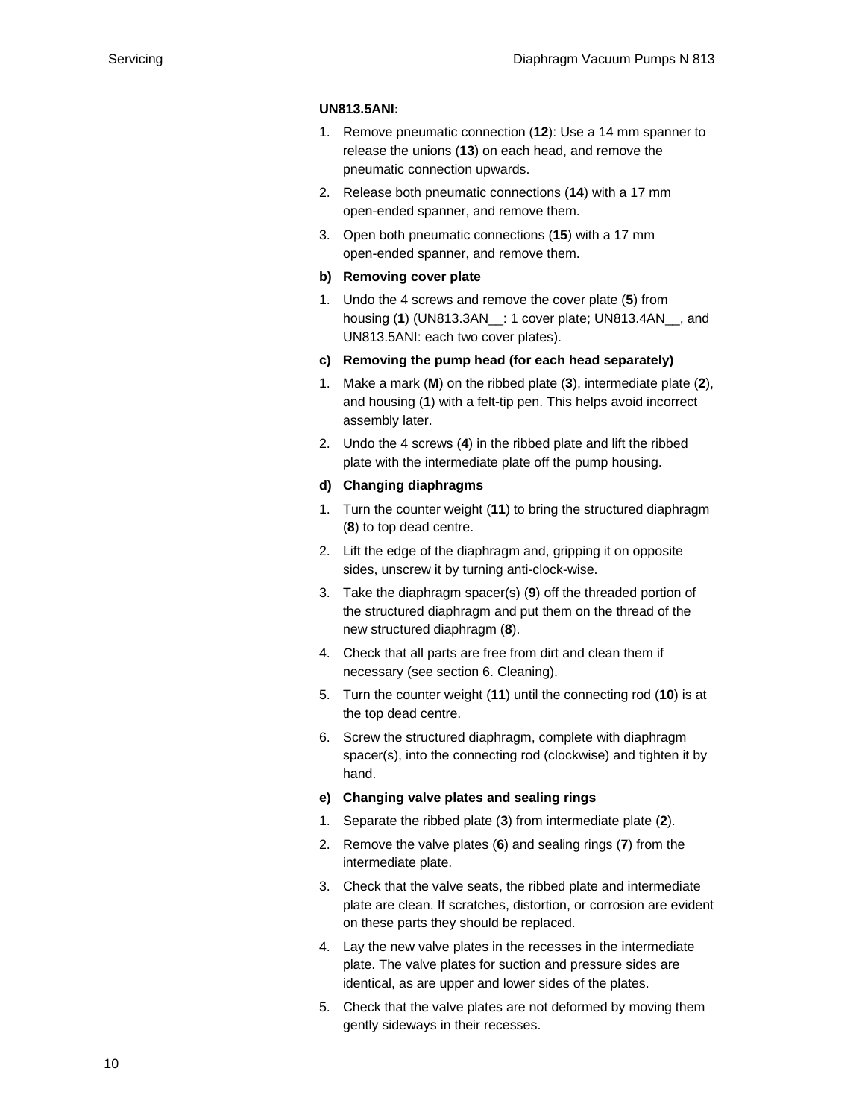#### **UN813.5ANI:**

- 1. Remove pneumatic connection (**12**): Use a 14 mm spanner to release the unions (**13**) on each head, and remove the pneumatic connection upwards.
- 2. Release both pneumatic connections (**14**) with a 17 mm open-ended spanner, and remove them.
- 3. Open both pneumatic connections (**15**) with a 17 mm open-ended spanner, and remove them.

#### **b) Removing cover plate**

- 1. Undo the 4 screws and remove the cover plate (**5**) from housing (**1**) (UN813.3AN\_\_: 1 cover plate; UN813.4AN\_\_, and UN813.5ANI: each two cover plates).
- **c) Removing the pump head (for each head separately)**
- 1. Make a mark (**M**) on the ribbed plate (**3**), intermediate plate (**2**), and housing (**1**) with a felt-tip pen. This helps avoid incorrect assembly later.
- 2. Undo the 4 screws (**4**) in the ribbed plate and lift the ribbed plate with the intermediate plate off the pump housing.

#### **d) Changing diaphragms**

- 1. Turn the counter weight (**11**) to bring the structured diaphragm (**8**) to top dead centre.
- 2. Lift the edge of the diaphragm and, gripping it on opposite sides, unscrew it by turning anti-clock-wise.
- 3. Take the diaphragm spacer(s) (**9**) off the threaded portion of the structured diaphragm and put them on the thread of the new structured diaphragm (**8**).
- 4. Check that all parts are free from dirt and clean them if necessary (see section 6. Cleaning).
- 5. Turn the counter weight (**11**) until the connecting rod (**10**) is at the top dead centre.
- 6. Screw the structured diaphragm, complete with diaphragm spacer(s), into the connecting rod (clockwise) and tighten it by hand.

#### **e) Changing valve plates and sealing rings**

- 1. Separate the ribbed plate (**3**) from intermediate plate (**2**).
- 2. Remove the valve plates (**6**) and sealing rings (**7**) from the intermediate plate.
- 3. Check that the valve seats, the ribbed plate and intermediate plate are clean. If scratches, distortion, or corrosion are evident on these parts they should be replaced.
- 4. Lay the new valve plates in the recesses in the intermediate plate. The valve plates for suction and pressure sides are identical, as are upper and lower sides of the plates.
- 5. Check that the valve plates are not deformed by moving them gently sideways in their recesses.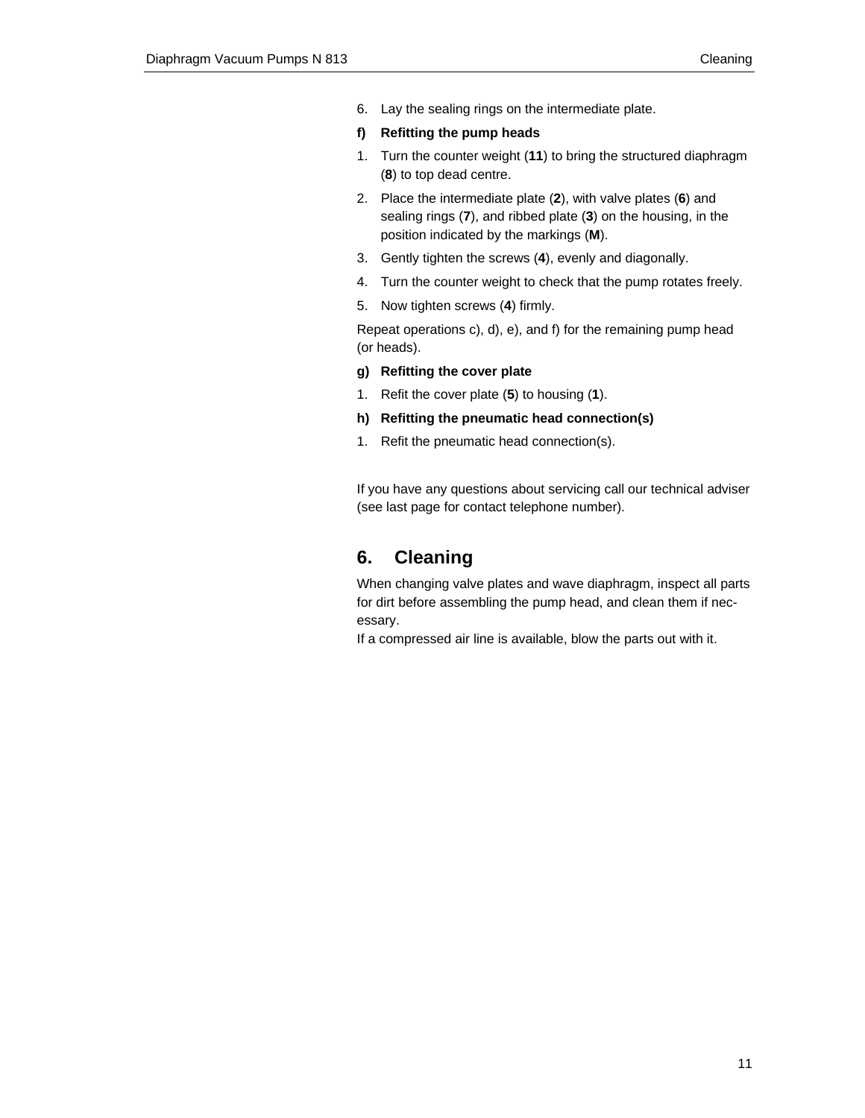- 6. Lay the sealing rings on the intermediate plate.
- **f) Refitting the pump heads**
- 1. Turn the counter weight (**11**) to bring the structured diaphragm (**8**) to top dead centre.
- 2. Place the intermediate plate (**2**), with valve plates (**6**) and sealing rings (**7**), and ribbed plate (**3**) on the housing, in the position indicated by the markings (**M**).
- 3. Gently tighten the screws (**4**), evenly and diagonally.
- 4. Turn the counter weight to check that the pump rotates freely.
- 5. Now tighten screws (**4**) firmly.

Repeat operations c), d), e), and f) for the remaining pump head (or heads).

#### **g) Refitting the cover plate**

- 1. Refit the cover plate (**5**) to housing (**1**).
- **h) Refitting the pneumatic head connection(s)**
- 1. Refit the pneumatic head connection(s).

If you have any questions about servicing call our technical adviser (see last page for contact telephone number).

## **6. Cleaning**

When changing valve plates and wave diaphragm, inspect all parts for dirt before assembling the pump head, and clean them if necessary.

If a compressed air line is available, blow the parts out with it.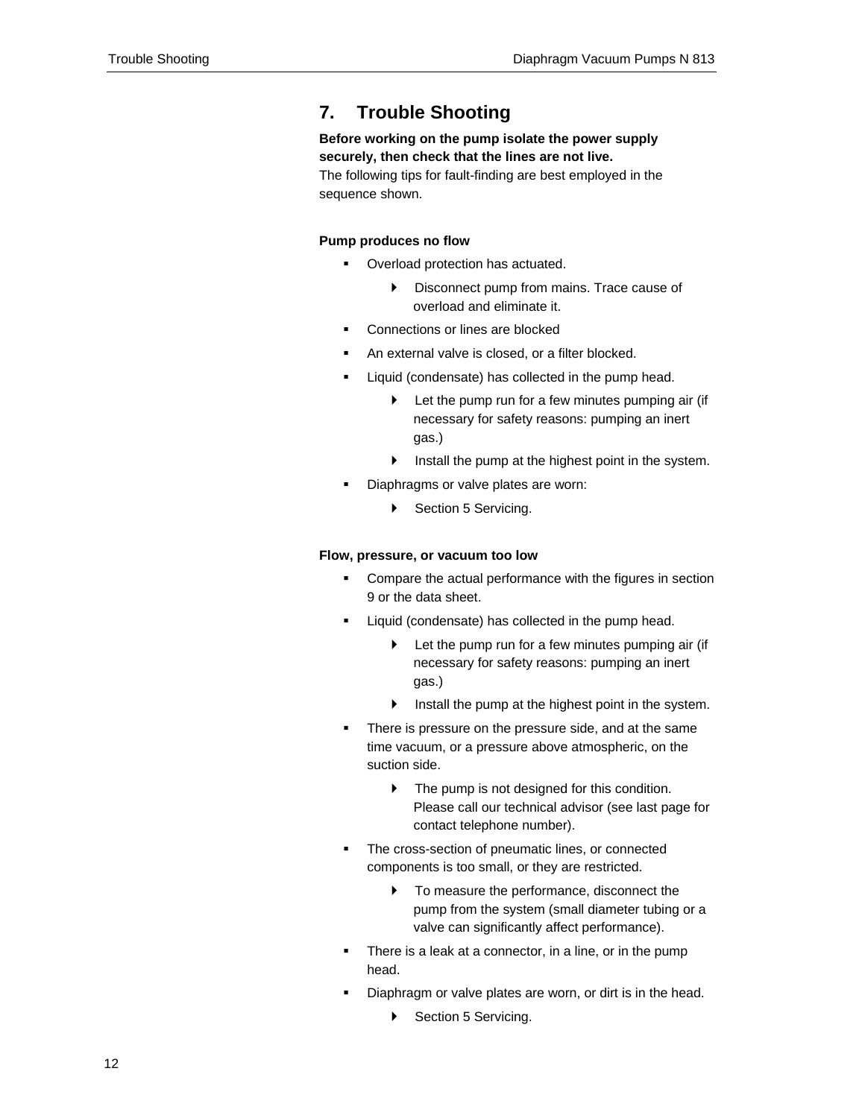## **7. Trouble Shooting**

## **Before working on the pump isolate the power supply securely, then check that the lines are not live.**

The following tips for fault-finding are best employed in the sequence shown.

#### **Pump produces no flow**

- **Overload protection has actuated.** 
	- Disconnect pump from mains. Trace cause of overload and eliminate it.
- Connections or lines are blocked
- An external valve is closed, or a filter blocked.
- Liquid (condensate) has collected in the pump head.
	- $\blacktriangleright$  Let the pump run for a few minutes pumping air (if necessary for safety reasons: pumping an inert gas.)
	- $\triangleright$  Install the pump at the highest point in the system.
- Diaphragms or valve plates are worn:
	- Section 5 Servicing.

#### **Flow, pressure, or vacuum too low**

- **•** Compare the actual performance with the figures in section 9 or the data sheet.
- **EXECT** Liquid (condensate) has collected in the pump head.
	- $\blacktriangleright$  Let the pump run for a few minutes pumping air (if necessary for safety reasons: pumping an inert gas.)
	- $\blacktriangleright$  Install the pump at the highest point in the system.
- **There is pressure on the pressure side, and at the same** time vacuum, or a pressure above atmospheric, on the suction side.
	- $\blacktriangleright$  The pump is not designed for this condition. Please call our technical advisor (see last page for contact telephone number).
- The cross-section of pneumatic lines, or connected components is too small, or they are restricted.
	- $\triangleright$  To measure the performance, disconnect the pump from the system (small diameter tubing or a valve can significantly affect performance).
- There is a leak at a connector, in a line, or in the pump head.
- Diaphragm or valve plates are worn, or dirt is in the head.
	- Section 5 Servicing.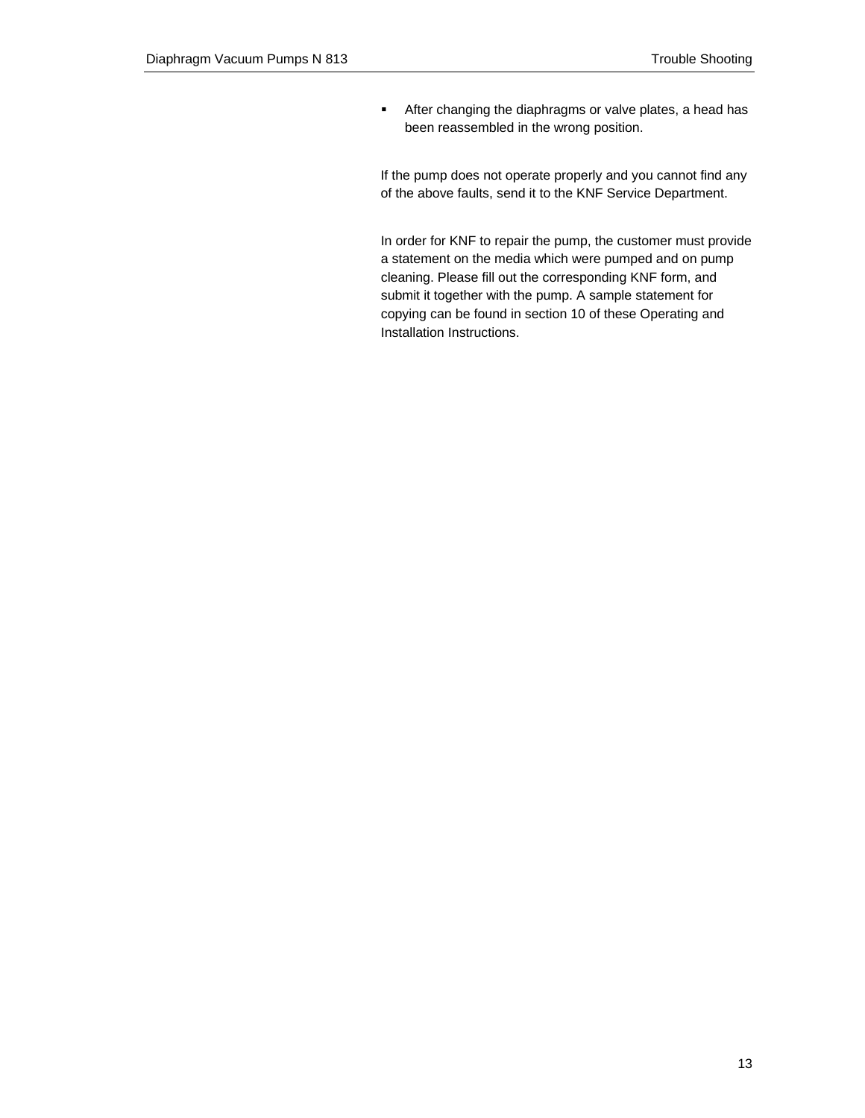**After changing the diaphragms or valve plates, a head has** been reassembled in the wrong position.

If the pump does not operate properly and you cannot find any of the above faults, send it to the KNF Service Department.

In order for KNF to repair the pump, the customer must provide a statement on the media which were pumped and on pump cleaning. Please fill out the corresponding KNF form, and submit it together with the pump. A sample statement for copying can be found in section 10 of these Operating and Installation Instructions.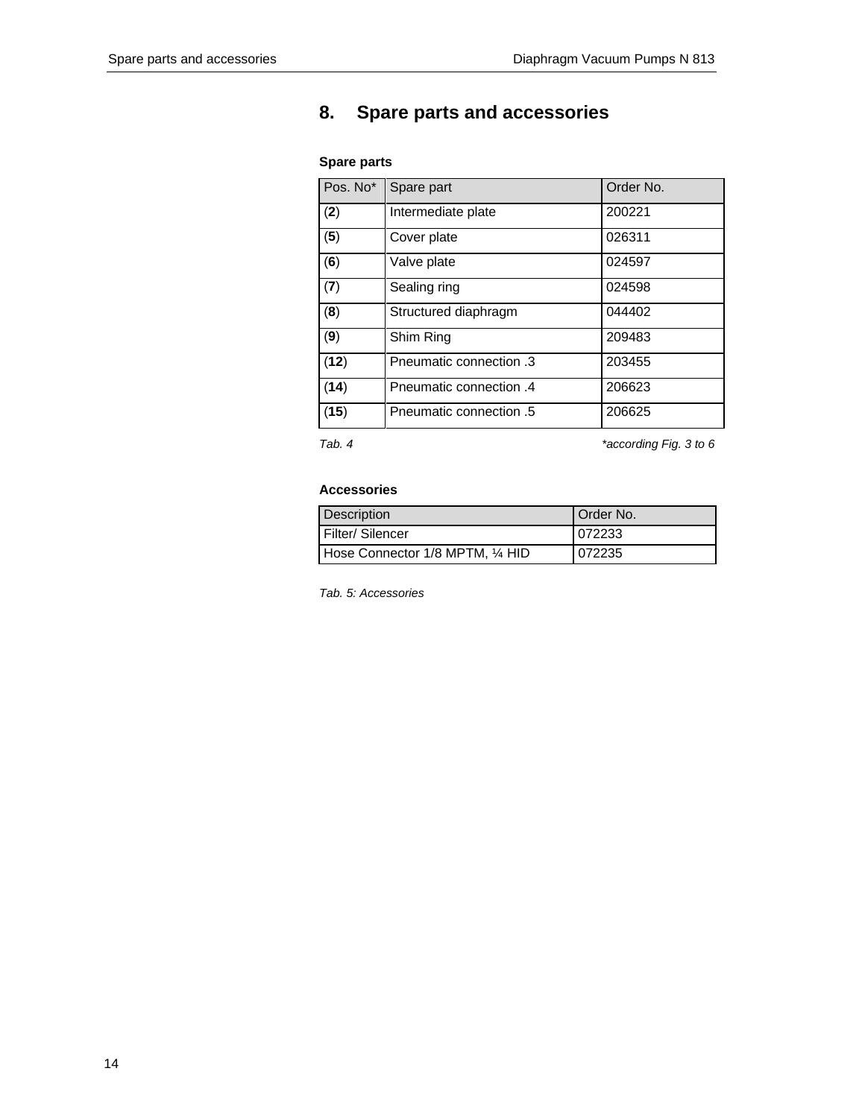## **8. Spare parts and accessories**

### **Spare parts**

| Pos. No* | Spare part              | Order No. |
|----------|-------------------------|-----------|
| (2)      | Intermediate plate      | 200221    |
| (5)      | Cover plate             | 026311    |
| (6)      | Valve plate             | 024597    |
| (7)      | Sealing ring            | 024598    |
| (8)      | Structured diaphragm    | 044402    |
| (9)      | Shim Ring               | 209483    |
| (12)     | Pneumatic connection .3 | 203455    |
| (14)     | Pneumatic connection .4 | 206623    |
| (15)     | 5. Pneumatic connection | 206625    |

*Tab. 4 \*according Fig. 3 to 6* 

#### **Accessories**

| Description                      | Order No. |
|----------------------------------|-----------|
| Filter/Silencer                  | 072233    |
| Hose Connector 1/8 MPTM, 1/4 HID | 072235    |

*Tab. 5: Accessories*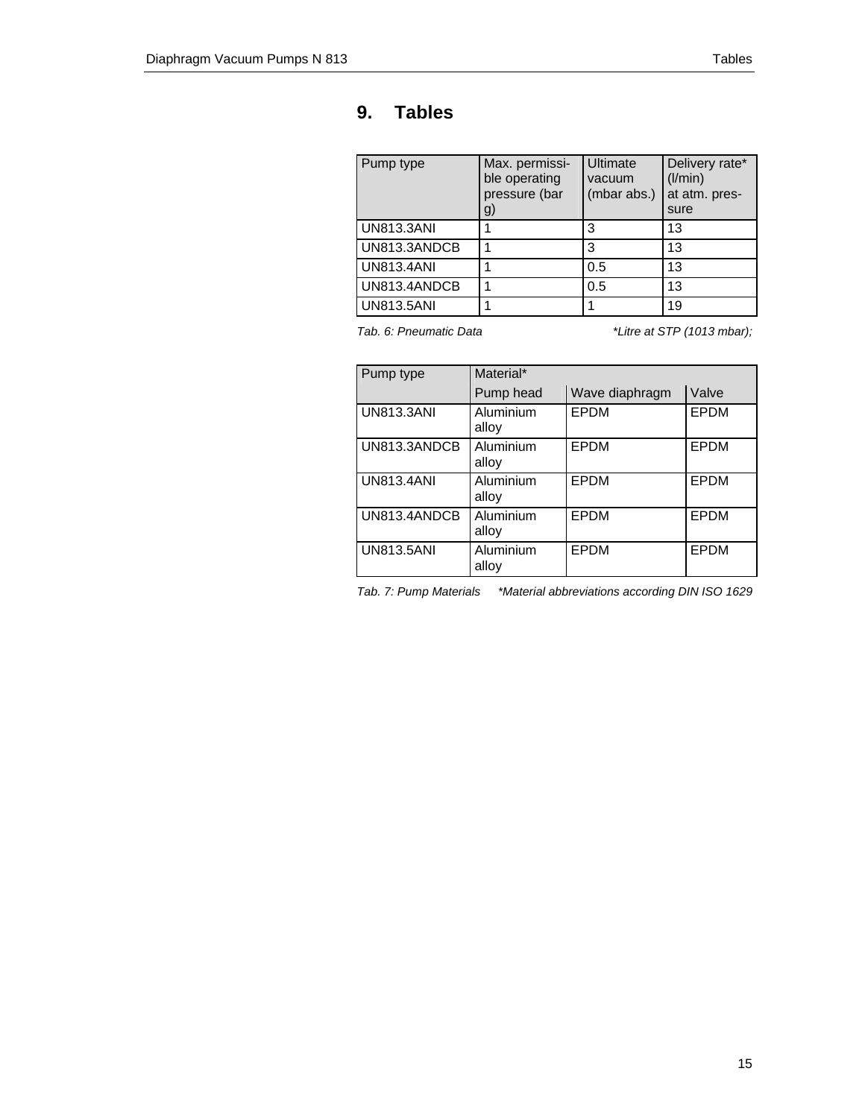## **9. Tables**

| Pump type         | Max. permissi-<br>ble operating<br>pressure (bar<br>g) | Ultimate<br>vacuum<br>(mbar abs.) | Delivery rate*<br>(1/min)<br>at atm. pres-<br>sure |
|-------------------|--------------------------------------------------------|-----------------------------------|----------------------------------------------------|
| <b>UN813.3ANI</b> |                                                        | 3                                 | 13                                                 |
| UN813.3ANDCB      |                                                        | 3                                 | 13                                                 |
| <b>UN813,4ANI</b> |                                                        | 0.5                               | 13                                                 |
| UN813.4ANDCB      |                                                        | 0.5                               | 13                                                 |
| <b>UN813.5ANI</b> |                                                        |                                   | 19                                                 |

*Tab. 6: Pneumatic Data \*Litre at STP (1013 mbar);* 

| Pump type         | Material*          |                |       |
|-------------------|--------------------|----------------|-------|
|                   | Pump head          | Wave diaphragm | Valve |
| <b>UN813,3ANI</b> | Aluminium<br>alloy | <b>EPDM</b>    | EPDM  |
| UN813.3ANDCB      | Aluminium<br>alloy | EPDM           | EPDM  |
| <b>UN813.4ANI</b> | Aluminium<br>alloy | EPDM           | EPDM  |
| UN813.4ANDCB      | Aluminium<br>alloy | <b>EPDM</b>    | EPDM  |
| <b>UN813,5ANI</b> | Aluminium<br>alloy | <b>EPDM</b>    | EPDM  |

*Tab. 7: Pump Materials \*Material abbreviations according DIN ISO 1629*